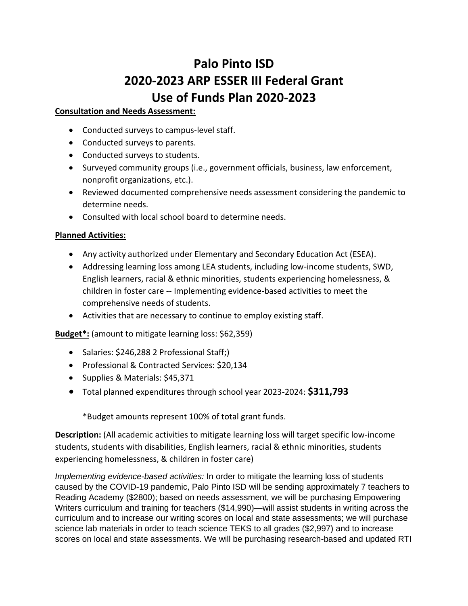# **Palo Pinto ISD 2020-2023 ARP ESSER III Federal Grant Use of Funds Plan 2020-2023**

# **Consultation and Needs Assessment:**

- Conducted surveys to campus-level staff.
- Conducted surveys to parents.
- Conducted surveys to students.
- Surveyed community groups (i.e., government officials, business, law enforcement, nonprofit organizations, etc.).
- Reviewed documented comprehensive needs assessment considering the pandemic to determine needs.
- Consulted with local school board to determine needs.

# **Planned Activities:**

- Any activity authorized under Elementary and Secondary Education Act (ESEA).
- Addressing learning loss among LEA students, including low-income students, SWD, English learners, racial & ethnic minorities, students experiencing homelessness, & children in foster care -- Implementing evidence-based activities to meet the comprehensive needs of students.
- Activities that are necessary to continue to employ existing staff.

**Budget\*:** (amount to mitigate learning loss: \$62,359)

- Salaries: \$246,288 2 Professional Staff;)
- Professional & Contracted Services: \$20,134
- Supplies & Materials: \$45,371
- Total planned expenditures through school year 2023-2024: **\$311,793**

\*Budget amounts represent 100% of total grant funds.

**Description:** (All academic activities to mitigate learning loss will target specific low-income students, students with disabilities, English learners, racial & ethnic minorities, students experiencing homelessness, & children in foster care)

*Implementing evidence-based activities:* In order to mitigate the learning loss of students caused by the COVID-19 pandemic, Palo Pinto ISD will be sending approximately 7 teachers to Reading Academy (\$2800); based on needs assessment, we will be purchasing Empowering Writers curriculum and training for teachers (\$14,990)—will assist students in writing across the curriculum and to increase our writing scores on local and state assessments; we will purchase science lab materials in order to teach science TEKS to all grades (\$2,997) and to increase scores on local and state assessments. We will be purchasing research-based and updated RTI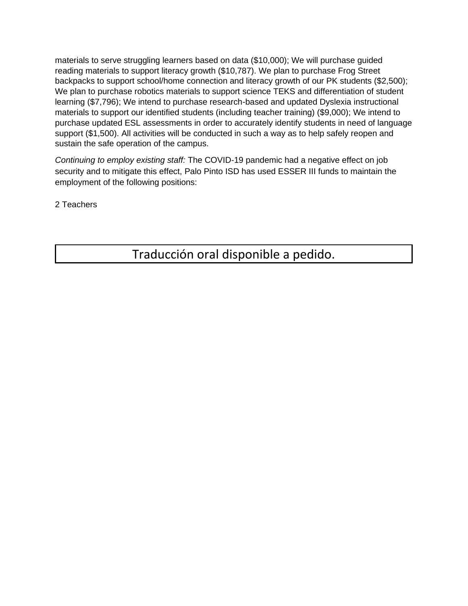materials to serve struggling learners based on data (\$10,000); We will purchase guided reading materials to support literacy growth (\$10,787). We plan to purchase Frog Street backpacks to support school/home connection and literacy growth of our PK students (\$2,500); We plan to purchase robotics materials to support science TEKS and differentiation of student learning (\$7,796); We intend to purchase research-based and updated Dyslexia instructional materials to support our identified students (including teacher training) (\$9,000); We intend to purchase updated ESL assessments in order to accurately identify students in need of language support (\$1,500). All activities will be conducted in such a way as to help safely reopen and sustain the safe operation of the campus.

*Continuing to employ existing staff:* The COVID-19 pandemic had a negative effect on job security and to mitigate this effect, Palo Pinto ISD has used ESSER III funds to maintain the employment of the following positions:

2 Teachers

Traducción oral disponible a pedido.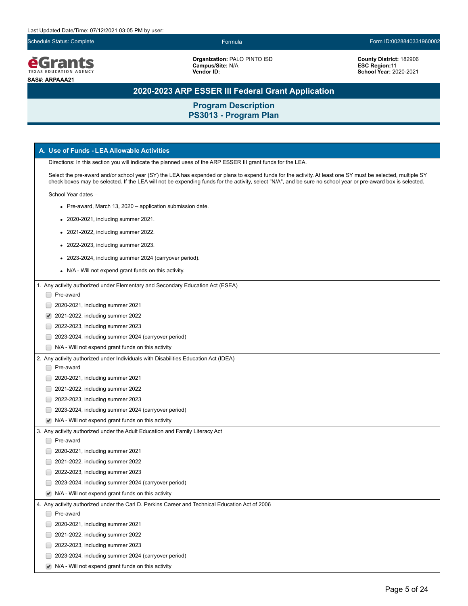

**Organization:** PALO PINTO ISD **Campus/Site:** N/A

**Vendor ID:**

**County District:** 182906 **ESC Region:**11 **School Year:** 2020-2021

# **2020-2023 ARP ESSER III Federal Grant Application**

| A. Use of Funds - LEA Allowable Activities                                                                                                                                                                                                                                                                                 |  |  |
|----------------------------------------------------------------------------------------------------------------------------------------------------------------------------------------------------------------------------------------------------------------------------------------------------------------------------|--|--|
| Directions: In this section you will indicate the planned uses of the ARP ESSER III grant funds for the LEA.                                                                                                                                                                                                               |  |  |
| Select the pre-award and/or school year (SY) the LEA has expended or plans to expend funds for the activity. At least one SY must be selected, multiple SY<br>check boxes may be selected. If the LEA will not be expending funds for the activity, select "N/A", and be sure no school year or pre-award box is selected. |  |  |
| School Year dates -                                                                                                                                                                                                                                                                                                        |  |  |
| • Pre-award, March 13, 2020 – application submission date.                                                                                                                                                                                                                                                                 |  |  |
| • 2020-2021, including summer 2021.                                                                                                                                                                                                                                                                                        |  |  |
| • 2021-2022, including summer 2022.                                                                                                                                                                                                                                                                                        |  |  |
| 2022-2023, including summer 2023.                                                                                                                                                                                                                                                                                          |  |  |
| • 2023-2024, including summer 2024 (carryover period).                                                                                                                                                                                                                                                                     |  |  |
| • N/A - Will not expend grant funds on this activity.                                                                                                                                                                                                                                                                      |  |  |
| 1. Any activity authorized under Elementary and Secondary Education Act (ESEA)                                                                                                                                                                                                                                             |  |  |
| Pre-award                                                                                                                                                                                                                                                                                                                  |  |  |
| 2020-2021, including summer 2021                                                                                                                                                                                                                                                                                           |  |  |
| 2021-2022, including summer 2022<br>✔                                                                                                                                                                                                                                                                                      |  |  |
| 2022-2023, including summer 2023                                                                                                                                                                                                                                                                                           |  |  |
| 2023-2024, including summer 2024 (carryover period)                                                                                                                                                                                                                                                                        |  |  |
| N/A - Will not expend grant funds on this activity                                                                                                                                                                                                                                                                         |  |  |
| 2. Any activity authorized under Individuals with Disabilities Education Act (IDEA)                                                                                                                                                                                                                                        |  |  |
| Pre-award                                                                                                                                                                                                                                                                                                                  |  |  |
| 2020-2021, including summer 2021                                                                                                                                                                                                                                                                                           |  |  |
| 2021-2022, including summer 2022                                                                                                                                                                                                                                                                                           |  |  |
| 2022-2023, including summer 2023                                                                                                                                                                                                                                                                                           |  |  |
| 2023-2024, including summer 2024 (carryover period)                                                                                                                                                                                                                                                                        |  |  |
| $\blacktriangleright$ N/A - Will not expend grant funds on this activity                                                                                                                                                                                                                                                   |  |  |
| 3. Any activity authorized under the Adult Education and Family Literacy Act                                                                                                                                                                                                                                               |  |  |
| Pre-award                                                                                                                                                                                                                                                                                                                  |  |  |
| 2020-2021, including summer 2021                                                                                                                                                                                                                                                                                           |  |  |
| 2021-2022, including summer 2022                                                                                                                                                                                                                                                                                           |  |  |
| 2022-2023, including summer 2023                                                                                                                                                                                                                                                                                           |  |  |
| 2023-2024, including summer 2024 (carryover period)                                                                                                                                                                                                                                                                        |  |  |
| $\blacktriangleright$ N/A - Will not expend grant funds on this activity                                                                                                                                                                                                                                                   |  |  |
| 4. Any activity authorized under the Carl D. Perkins Career and Technical Education Act of 2006                                                                                                                                                                                                                            |  |  |
| Pre-award                                                                                                                                                                                                                                                                                                                  |  |  |
| 2020-2021, including summer 2021                                                                                                                                                                                                                                                                                           |  |  |
| 2021-2022, including summer 2022                                                                                                                                                                                                                                                                                           |  |  |
| 2022-2023, including summer 2023                                                                                                                                                                                                                                                                                           |  |  |
| 2023-2024, including summer 2024 (carryover period)                                                                                                                                                                                                                                                                        |  |  |
| $\blacktriangleright$ N/A - Will not expend grant funds on this activity                                                                                                                                                                                                                                                   |  |  |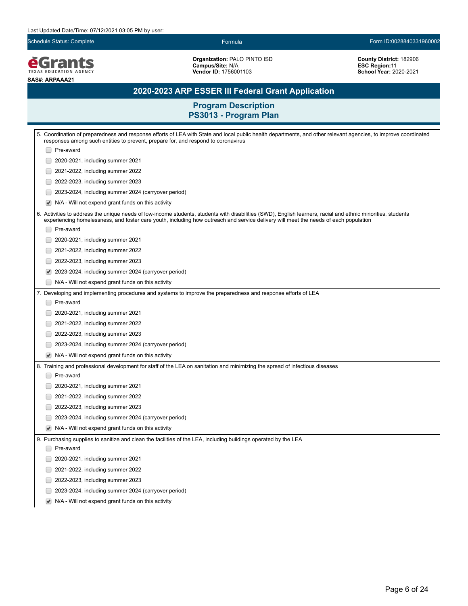**EGrants SAS#: ARPAAA21**

**Organization:** PALO PINTO ISD **Campus/Site:** N/A **Vendor ID:** 1756001103

**County District:** 182906 **ESC Region:**11 **School Year:** 2020-2021

# **2020-2023 ARP ESSER III Federal Grant Application**

| 5. Coordination of preparedness and response efforts of LEA with State and local public health departments, and other relevant agencies, to improve coordinated<br>responses among such entities to prevent, prepare for, and respond to coronavirus                                                 |  |  |  |
|------------------------------------------------------------------------------------------------------------------------------------------------------------------------------------------------------------------------------------------------------------------------------------------------------|--|--|--|
| Pre-award                                                                                                                                                                                                                                                                                            |  |  |  |
| 2020-2021, including summer 2021                                                                                                                                                                                                                                                                     |  |  |  |
| 2021-2022, including summer 2022                                                                                                                                                                                                                                                                     |  |  |  |
| 2022-2023, including summer 2023                                                                                                                                                                                                                                                                     |  |  |  |
| 2023-2024, including summer 2024 (carryover period)                                                                                                                                                                                                                                                  |  |  |  |
| ✔<br>N/A - Will not expend grant funds on this activity                                                                                                                                                                                                                                              |  |  |  |
| 6. Activities to address the unique needs of low-income students, students with disabilities (SWD), English learners, racial and ethnic minorities, students<br>experiencing homelessness, and foster care youth, including how outreach and service delivery will meet the needs of each population |  |  |  |
| Pre-award                                                                                                                                                                                                                                                                                            |  |  |  |
| 2020-2021, including summer 2021                                                                                                                                                                                                                                                                     |  |  |  |
| 2021-2022, including summer 2022                                                                                                                                                                                                                                                                     |  |  |  |
| 2022-2023, including summer 2023                                                                                                                                                                                                                                                                     |  |  |  |
| 2023-2024, including summer 2024 (carryover period)<br>✔                                                                                                                                                                                                                                             |  |  |  |
| N/A - Will not expend grant funds on this activity                                                                                                                                                                                                                                                   |  |  |  |
| 7. Developing and implementing procedures and systems to improve the preparedness and response efforts of LEA                                                                                                                                                                                        |  |  |  |
| Pre-award                                                                                                                                                                                                                                                                                            |  |  |  |
| 2020-2021, including summer 2021                                                                                                                                                                                                                                                                     |  |  |  |
| 2021-2022, including summer 2022                                                                                                                                                                                                                                                                     |  |  |  |
| 2022-2023, including summer 2023                                                                                                                                                                                                                                                                     |  |  |  |
| 2023-2024, including summer 2024 (carryover period)                                                                                                                                                                                                                                                  |  |  |  |
| N/A - Will not expend grant funds on this activity<br>$\blacktriangledown$                                                                                                                                                                                                                           |  |  |  |
| 8. Training and professional development for staff of the LEA on sanitation and minimizing the spread of infectious diseases                                                                                                                                                                         |  |  |  |
| Pre-award                                                                                                                                                                                                                                                                                            |  |  |  |
| 2020-2021, including summer 2021                                                                                                                                                                                                                                                                     |  |  |  |
| 2021-2022, including summer 2022                                                                                                                                                                                                                                                                     |  |  |  |
| 2022-2023, including summer 2023                                                                                                                                                                                                                                                                     |  |  |  |
| 2023-2024, including summer 2024 (carryover period)                                                                                                                                                                                                                                                  |  |  |  |
| ✔<br>N/A - Will not expend grant funds on this activity                                                                                                                                                                                                                                              |  |  |  |
| 9. Purchasing supplies to sanitize and clean the facilities of the LEA, including buildings operated by the LEA                                                                                                                                                                                      |  |  |  |
| Pre-award                                                                                                                                                                                                                                                                                            |  |  |  |
| 2020-2021, including summer 2021                                                                                                                                                                                                                                                                     |  |  |  |
| 2021-2022, including summer 2022                                                                                                                                                                                                                                                                     |  |  |  |
| 2022-2023, including summer 2023                                                                                                                                                                                                                                                                     |  |  |  |
| 2023-2024, including summer 2024 (carryover period)<br>$\overline{\phantom{a}}$                                                                                                                                                                                                                      |  |  |  |
| N/A - Will not expend grant funds on this activity<br>✔                                                                                                                                                                                                                                              |  |  |  |
|                                                                                                                                                                                                                                                                                                      |  |  |  |
|                                                                                                                                                                                                                                                                                                      |  |  |  |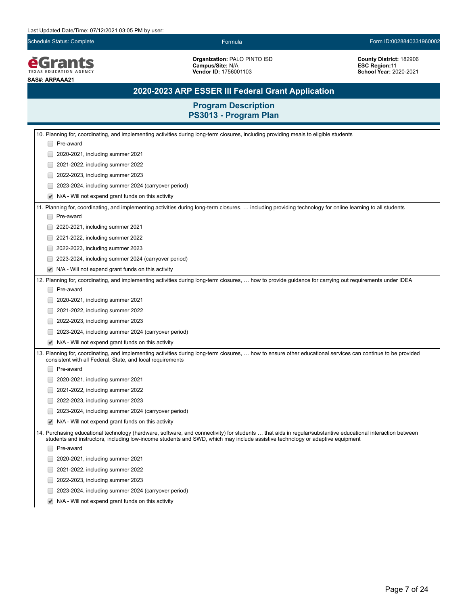**EGrants SAS#: ARPAAA21**

**Organization:** PALO PINTO ISD **Campus/Site:** N/A **Vendor ID:** 1756001103

**County District:** 182906 **ESC Region:**11 **School Year:** 2020-2021

# **2020-2023 ARP ESSER III Federal Grant Application**

| 10. Planning for, coordinating, and implementing activities during long-term closures, including providing meals to eligible students                                                                                                                                                        |  |  |  |  |
|----------------------------------------------------------------------------------------------------------------------------------------------------------------------------------------------------------------------------------------------------------------------------------------------|--|--|--|--|
| □ Pre-award                                                                                                                                                                                                                                                                                  |  |  |  |  |
| 2020-2021, including summer 2021                                                                                                                                                                                                                                                             |  |  |  |  |
| 2021-2022, including summer 2022                                                                                                                                                                                                                                                             |  |  |  |  |
| 2022-2023, including summer 2023                                                                                                                                                                                                                                                             |  |  |  |  |
| 2023-2024, including summer 2024 (carryover period)                                                                                                                                                                                                                                          |  |  |  |  |
| N/A - Will not expend grant funds on this activity<br>$\blacktriangledown$                                                                                                                                                                                                                   |  |  |  |  |
| 11. Planning for, coordinating, and implementing activities during long-term closures,  including providing technology for online learning to all students                                                                                                                                   |  |  |  |  |
| Pre-award                                                                                                                                                                                                                                                                                    |  |  |  |  |
| 2020-2021, including summer 2021                                                                                                                                                                                                                                                             |  |  |  |  |
| 2021-2022, including summer 2022                                                                                                                                                                                                                                                             |  |  |  |  |
| 2022-2023, including summer 2023                                                                                                                                                                                                                                                             |  |  |  |  |
| 2023-2024, including summer 2024 (carryover period)                                                                                                                                                                                                                                          |  |  |  |  |
| N/A - Will not expend grant funds on this activity                                                                                                                                                                                                                                           |  |  |  |  |
| 12. Planning for, coordinating, and implementing activities during long-term closures,  how to provide guidance for carrying out requirements under IDEA                                                                                                                                     |  |  |  |  |
| Pre-award                                                                                                                                                                                                                                                                                    |  |  |  |  |
| 2020-2021, including summer 2021                                                                                                                                                                                                                                                             |  |  |  |  |
| 2021-2022, including summer 2022                                                                                                                                                                                                                                                             |  |  |  |  |
| 2022-2023, including summer 2023                                                                                                                                                                                                                                                             |  |  |  |  |
| 2023-2024, including summer 2024 (carryover period)                                                                                                                                                                                                                                          |  |  |  |  |
| N/A - Will not expend grant funds on this activity                                                                                                                                                                                                                                           |  |  |  |  |
| 13. Planning for, coordinating, and implementing activities during long-term closures,  how to ensure other educational services can continue to be provided<br>consistent with all Federal, State, and local requirements                                                                   |  |  |  |  |
| Pre-award                                                                                                                                                                                                                                                                                    |  |  |  |  |
| 2020-2021, including summer 2021                                                                                                                                                                                                                                                             |  |  |  |  |
| 2021-2022, including summer 2022                                                                                                                                                                                                                                                             |  |  |  |  |
| 2022-2023, including summer 2023                                                                                                                                                                                                                                                             |  |  |  |  |
| 2023-2024, including summer 2024 (carryover period)                                                                                                                                                                                                                                          |  |  |  |  |
| N/A - Will not expend grant funds on this activity                                                                                                                                                                                                                                           |  |  |  |  |
| 14. Purchasing educational technology (hardware, software, and connectivity) for students  that aids in regular/substantive educational interaction between<br>students and instructors, including low-income students and SWD, which may include assistive technology or adaptive equipment |  |  |  |  |
| Pre-award                                                                                                                                                                                                                                                                                    |  |  |  |  |
| 2020-2021, including summer 2021                                                                                                                                                                                                                                                             |  |  |  |  |
| 2021-2022, including summer 2022                                                                                                                                                                                                                                                             |  |  |  |  |
| 2022-2023, including summer 2023                                                                                                                                                                                                                                                             |  |  |  |  |
| 2023-2024, including summer 2024 (carryover period)                                                                                                                                                                                                                                          |  |  |  |  |
| N/A - Will not expend grant funds on this activity                                                                                                                                                                                                                                           |  |  |  |  |
|                                                                                                                                                                                                                                                                                              |  |  |  |  |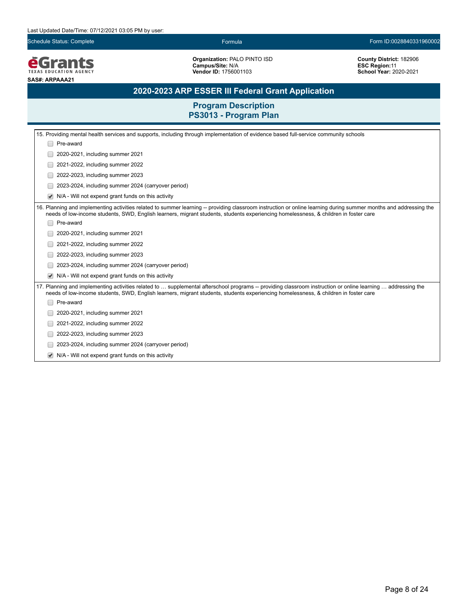**EGrants SAS#: ARPAAA21**

**Organization:** PALO PINTO ISD **Campus/Site:** N/A **Vendor ID:** 1756001103

**County District:** 182906 **ESC Region:**11 **School Year:** 2020-2021

# **2020-2023 ARP ESSER III Federal Grant Application**

| 15. Providing mental health services and supports, including through implementation of evidence based full-service community schools                                                                                                                                                                      |  |  |  |
|-----------------------------------------------------------------------------------------------------------------------------------------------------------------------------------------------------------------------------------------------------------------------------------------------------------|--|--|--|
| Pre-award                                                                                                                                                                                                                                                                                                 |  |  |  |
| 2020-2021, including summer 2021                                                                                                                                                                                                                                                                          |  |  |  |
| 2021-2022, including summer 2022                                                                                                                                                                                                                                                                          |  |  |  |
| 2022-2023, including summer 2023                                                                                                                                                                                                                                                                          |  |  |  |
| 2023-2024, including summer 2024 (carryover period)                                                                                                                                                                                                                                                       |  |  |  |
| N/A - Will not expend grant funds on this activity                                                                                                                                                                                                                                                        |  |  |  |
| 16. Planning and implementing activities related to summer learning -- providing classroom instruction or online learning during summer months and addressing the<br>needs of low-income students, SWD, English learners, migrant students, students experiencing homelessness, & children in foster care |  |  |  |
| Pre-award                                                                                                                                                                                                                                                                                                 |  |  |  |
| 2020-2021, including summer 2021                                                                                                                                                                                                                                                                          |  |  |  |
| 2021-2022, including summer 2022                                                                                                                                                                                                                                                                          |  |  |  |
| 2022-2023, including summer 2023                                                                                                                                                                                                                                                                          |  |  |  |
| 2023-2024, including summer 2024 (carryover period)                                                                                                                                                                                                                                                       |  |  |  |
| N/A - Will not expend grant funds on this activity                                                                                                                                                                                                                                                        |  |  |  |
| 17. Planning and implementing activities related to  supplemental afterschool programs -- providing classroom instruction or online learning  addressing the<br>needs of low-income students, SWD, English learners, migrant students, students experiencing homelessness, & children in foster care      |  |  |  |
| Pre-award                                                                                                                                                                                                                                                                                                 |  |  |  |
| 2020-2021, including summer 2021                                                                                                                                                                                                                                                                          |  |  |  |
| 2021-2022, including summer 2022                                                                                                                                                                                                                                                                          |  |  |  |
| 2022-2023, including summer 2023                                                                                                                                                                                                                                                                          |  |  |  |
| 2023-2024, including summer 2024 (carryover period)                                                                                                                                                                                                                                                       |  |  |  |
| N/A - Will not expend grant funds on this activity                                                                                                                                                                                                                                                        |  |  |  |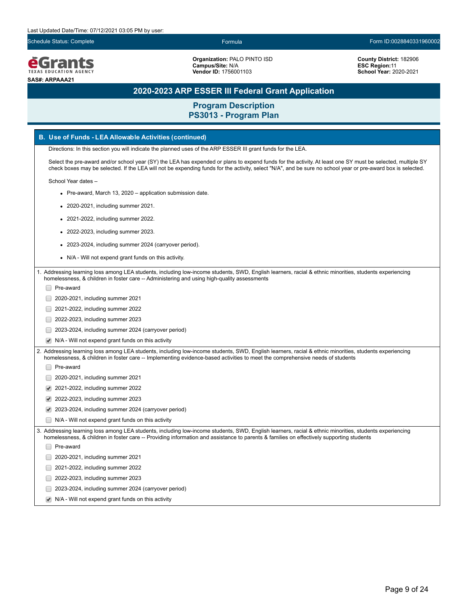

**Organization:** PALO PINTO ISD **Campus/Site:** N/A **Vendor ID:** 1756001103

**County District:** 182906 **ESC Region:**11 **School Year:** 2020-2021

# **2020-2023 ARP ESSER III Federal Grant Application**

|  | <b>B. Use of Funds - LEA Allowable Activities (continued)</b>                                                                                                                                                                                                                                                              |
|--|----------------------------------------------------------------------------------------------------------------------------------------------------------------------------------------------------------------------------------------------------------------------------------------------------------------------------|
|  | Directions: In this section you will indicate the planned uses of the ARP ESSER III grant funds for the LEA.                                                                                                                                                                                                               |
|  | Select the pre-award and/or school year (SY) the LEA has expended or plans to expend funds for the activity. At least one SY must be selected, multiple SY<br>check boxes may be selected. If the LEA will not be expending funds for the activity, select "N/A", and be sure no school year or pre-award box is selected. |
|  | School Year dates -                                                                                                                                                                                                                                                                                                        |
|  | • Pre-award, March 13, 2020 – application submission date.                                                                                                                                                                                                                                                                 |
|  | 2020-2021, including summer 2021.                                                                                                                                                                                                                                                                                          |
|  | • 2021-2022, including summer 2022.                                                                                                                                                                                                                                                                                        |
|  | 2022-2023, including summer 2023.                                                                                                                                                                                                                                                                                          |
|  | 2023-2024, including summer 2024 (carryover period).                                                                                                                                                                                                                                                                       |
|  | N/A - Will not expend grant funds on this activity.                                                                                                                                                                                                                                                                        |
|  | Addressing learning loss among LEA students, including low-income students, SWD, English learners, racial & ethnic minorities, students experiencing                                                                                                                                                                       |
|  | homelessness, & children in foster care -- Administering and using high-quality assessments                                                                                                                                                                                                                                |
|  | Pre-award                                                                                                                                                                                                                                                                                                                  |
|  | 2020-2021, including summer 2021                                                                                                                                                                                                                                                                                           |
|  | 2021-2022, including summer 2022                                                                                                                                                                                                                                                                                           |
|  | 2022-2023, including summer 2023                                                                                                                                                                                                                                                                                           |
|  | 2023-2024, including summer 2024 (carryover period)                                                                                                                                                                                                                                                                        |
|  | N/A - Will not expend grant funds on this activity                                                                                                                                                                                                                                                                         |
|  | 2. Addressing learning loss among LEA students, including low-income students, SWD, English learners, racial & ethnic minorities, students experiencing<br>homelessness, & children in foster care -- Implementing evidence-based activities to meet the comprehensive needs of students                                   |
|  | Pre-award                                                                                                                                                                                                                                                                                                                  |
|  | 2020-2021, including summer 2021                                                                                                                                                                                                                                                                                           |
|  | 2021-2022, including summer 2022                                                                                                                                                                                                                                                                                           |
|  | 2022-2023, including summer 2023                                                                                                                                                                                                                                                                                           |
|  | 2023-2024, including summer 2024 (carryover period)                                                                                                                                                                                                                                                                        |
|  | N/A - Will not expend grant funds on this activity                                                                                                                                                                                                                                                                         |
|  | 3. Addressing learning loss among LEA students, including low-income students, SWD, English learners, racial & ethnic minorities, students experiencing<br>homelessness, & children in foster care -- Providing information and assistance to parents & families on effectively supporting students                        |
|  | Pre-award                                                                                                                                                                                                                                                                                                                  |
|  | 2020-2021, including summer 2021                                                                                                                                                                                                                                                                                           |
|  | 2021-2022, including summer 2022                                                                                                                                                                                                                                                                                           |
|  | 2022-2023, including summer 2023                                                                                                                                                                                                                                                                                           |
|  | 2023-2024, including summer 2024 (carryover period)                                                                                                                                                                                                                                                                        |
|  | N/A - Will not expend grant funds on this activity                                                                                                                                                                                                                                                                         |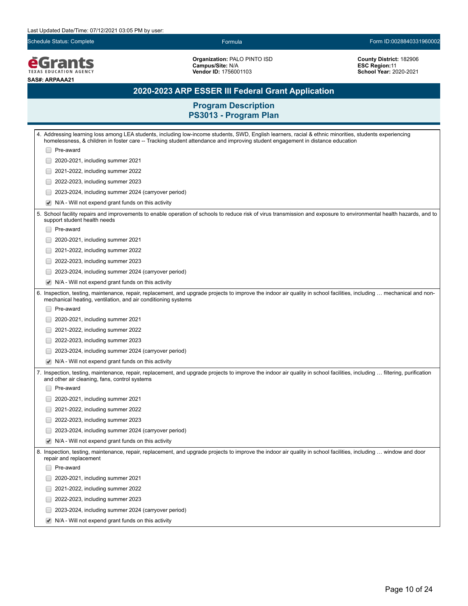**EGrants SAS#: ARPAAA21**

**Organization:** PALO PINTO ISD **Campus/Site:** N/A **Vendor ID:** 1756001103

**County District:** 182906 **ESC Region:**11 **School Year:** 2020-2021

# **2020-2023 ARP ESSER III Federal Grant Application**

| 4. Addressing learning loss among LEA students, including low-income students, SWD, English learners, racial & ethnic minorities, students experiencing<br>homelessness, & children in foster care -- Tracking student attendance and improving student engagement in distance education |  |  |  |  |
|------------------------------------------------------------------------------------------------------------------------------------------------------------------------------------------------------------------------------------------------------------------------------------------|--|--|--|--|
| Pre-award                                                                                                                                                                                                                                                                                |  |  |  |  |
| 2020-2021, including summer 2021                                                                                                                                                                                                                                                         |  |  |  |  |
| 2021-2022, including summer 2022                                                                                                                                                                                                                                                         |  |  |  |  |
| 2022-2023, including summer 2023                                                                                                                                                                                                                                                         |  |  |  |  |
| 2023-2024, including summer 2024 (carryover period)                                                                                                                                                                                                                                      |  |  |  |  |
| N/A - Will not expend grant funds on this activity<br>$\blacktriangledown$                                                                                                                                                                                                               |  |  |  |  |
| 5. School facility repairs and improvements to enable operation of schools to reduce risk of virus transmission and exposure to environmental health hazards, and to<br>support student health needs                                                                                     |  |  |  |  |
| Pre-award                                                                                                                                                                                                                                                                                |  |  |  |  |
| 2020-2021, including summer 2021                                                                                                                                                                                                                                                         |  |  |  |  |
| 2021-2022, including summer 2022                                                                                                                                                                                                                                                         |  |  |  |  |
| 2022-2023, including summer 2023                                                                                                                                                                                                                                                         |  |  |  |  |
| 2023-2024, including summer 2024 (carryover period)                                                                                                                                                                                                                                      |  |  |  |  |
| N/A - Will not expend grant funds on this activity<br>$\blacktriangledown$                                                                                                                                                                                                               |  |  |  |  |
| 6. Inspection, testing, maintenance, repair, replacement, and upgrade projects to improve the indoor air quality in school facilities, including  mechanical and non-<br>mechanical heating, ventilation, and air conditioning systems                                                   |  |  |  |  |
| Pre-award                                                                                                                                                                                                                                                                                |  |  |  |  |
| 2020-2021, including summer 2021                                                                                                                                                                                                                                                         |  |  |  |  |
| 2021-2022, including summer 2022                                                                                                                                                                                                                                                         |  |  |  |  |
| 2022-2023, including summer 2023                                                                                                                                                                                                                                                         |  |  |  |  |
| 2023-2024, including summer 2024 (carryover period)                                                                                                                                                                                                                                      |  |  |  |  |
| N/A - Will not expend grant funds on this activity<br>$\blacktriangledown$                                                                                                                                                                                                               |  |  |  |  |
| 7. Inspection, testing, maintenance, repair, replacement, and upgrade projects to improve the indoor air quality in school facilities, including  filtering, purification<br>and other air cleaning, fans, control systems                                                               |  |  |  |  |
| Pre-award                                                                                                                                                                                                                                                                                |  |  |  |  |
| 2020-2021, including summer 2021                                                                                                                                                                                                                                                         |  |  |  |  |
| 2021-2022, including summer 2022                                                                                                                                                                                                                                                         |  |  |  |  |
| 2022-2023, including summer 2023                                                                                                                                                                                                                                                         |  |  |  |  |
| 2023-2024, including summer 2024 (carryover period)                                                                                                                                                                                                                                      |  |  |  |  |
| N/A - Will not expend grant funds on this activity<br>$\blacktriangledown$                                                                                                                                                                                                               |  |  |  |  |
| 8. Inspection, testing, maintenance, repair, replacement, and upgrade projects to improve the indoor air quality in school facilities, including  window and door<br>repair and replacement                                                                                              |  |  |  |  |
| Pre-award                                                                                                                                                                                                                                                                                |  |  |  |  |
| 2020-2021, including summer 2021                                                                                                                                                                                                                                                         |  |  |  |  |
| 2021-2022, including summer 2022                                                                                                                                                                                                                                                         |  |  |  |  |
| 2022-2023, including summer 2023                                                                                                                                                                                                                                                         |  |  |  |  |
| 2023-2024, including summer 2024 (carryover period)                                                                                                                                                                                                                                      |  |  |  |  |
| $\blacktriangleright$ N/A - Will not expend grant funds on this activity                                                                                                                                                                                                                 |  |  |  |  |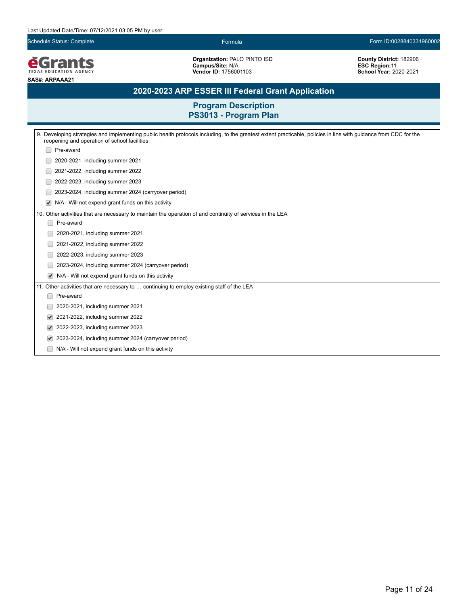### Last Updated Date/Time: 07/12/2021 03:05 PM by user:

Schedule Status: Complete Formula Form ID:0028840331960002

**EGrants SAS#: ARPAAA21**

**Organization:** PALO PINTO ISD **Campus/Site:** N/A **Vendor ID:** 1756001103

**County District:** 182906 **ESC Region:**11 **School Year:** 2020-2021

# **2020-2023 ARP ESSER III Federal Grant Application**

| 9. Developing strategies and implementing public health protocols including, to the greatest extent practicable, policies in line with guidance from CDC for the<br>reopening and operation of school facilities |  |  |  |
|------------------------------------------------------------------------------------------------------------------------------------------------------------------------------------------------------------------|--|--|--|
| Pre-award                                                                                                                                                                                                        |  |  |  |
| 2020-2021, including summer 2021                                                                                                                                                                                 |  |  |  |
| 2021-2022, including summer 2022                                                                                                                                                                                 |  |  |  |
| 2022-2023, including summer 2023                                                                                                                                                                                 |  |  |  |
| 2023-2024, including summer 2024 (carryover period)                                                                                                                                                              |  |  |  |
| N/A - Will not expend grant funds on this activity<br>$\blacktriangledown$                                                                                                                                       |  |  |  |
| 10. Other activities that are necessary to maintain the operation of and continuity of services in the LEA                                                                                                       |  |  |  |
| Pre-award                                                                                                                                                                                                        |  |  |  |
| 2020-2021, including summer 2021                                                                                                                                                                                 |  |  |  |
| 2021-2022, including summer 2022                                                                                                                                                                                 |  |  |  |
| 2022-2023, including summer 2023                                                                                                                                                                                 |  |  |  |
| 2023-2024, including summer 2024 (carryover period)                                                                                                                                                              |  |  |  |
| N/A - Will not expend grant funds on this activity<br>$\blacktriangledown$                                                                                                                                       |  |  |  |
| 11. Other activities that are necessary to  continuing to employ existing staff of the LEA                                                                                                                       |  |  |  |
| Pre-award<br>-                                                                                                                                                                                                   |  |  |  |
| 2020-2021, including summer 2021                                                                                                                                                                                 |  |  |  |
| 2021-2022, including summer 2022<br>$\blacktriangledown$                                                                                                                                                         |  |  |  |
| 2022-2023, including summer 2023<br>$\blacktriangledown$                                                                                                                                                         |  |  |  |
| 2023-2024, including summer 2024 (carryover period)<br>$\blacktriangledown$                                                                                                                                      |  |  |  |
| N/A - Will not expend grant funds on this activity                                                                                                                                                               |  |  |  |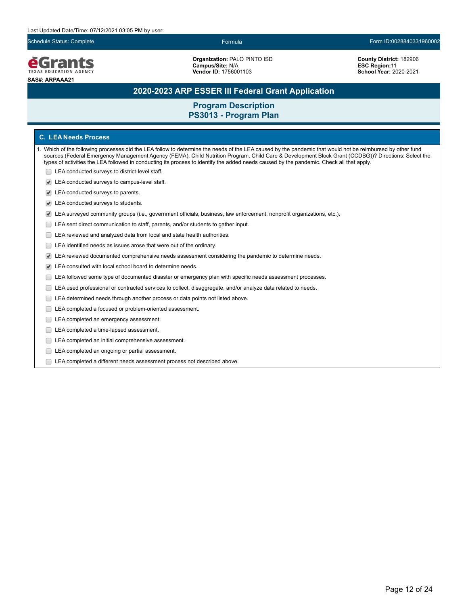

**Organization:** PALO PINTO ISD **Campus/Site:** N/A **Vendor ID:** 1756001103

**County District:** 182906 **ESC Region:**11 **School Year:** 2020-2021

# **2020-2023 ARP ESSER III Federal Grant Application**

## **Program Description PS3013 - Program Plan**

## **C. LEA Needs Process**

- 1. Which of the following processes did the LEA follow to determine the needs of the LEA caused by the pandemic that would not be reimbursed by other fund sources (Federal Emergency Management Agency (FEMA), Child Nutrition Program, Child Care & Development Block Grant (CCDBG))? Directions: Select the types of activities the LEA followed in conducting its process to identify the added needs caused by the pandemic. Check all that apply.
	- **LEA** conducted surveys to district-level staff.
	- LEA conducted surveys to campus-level staff.
	- LEA conducted surveys to parents.
	- LEA conducted surveys to students.
	- LEA surveyed community groups (i.e., government officials, business, law enforcement, nonprofit organizations, etc.).
	- LEA sent direct communication to staff, parents, and/or students to gather input.
	- E LEA reviewed and analyzed data from local and state health authorities.
	- E LEA identified needs as issues arose that were out of the ordinary.
	- LEA reviewed documented comprehensive needs assessment considering the pandemic to determine needs.
	- LEA consulted with local school board to determine needs.
	- LEA followed some type of documented disaster or emergency plan with specific needs assessment processes.
	- LEA used professional or contracted services to collect, disaggregate, and/or analyze data related to needs.
	- LEA determined needs through another process or data points not listed above.
	- LEA completed a focused or problem-oriented assessment.
	- LEA completed an emergency assessment.
	- LEA completed a time-lapsed assessment.
	- **LEA** completed an initial comprehensive assessment.
	- E LEA completed an ongoing or partial assessment.
	- LEA completed a different needs assessment process not described above.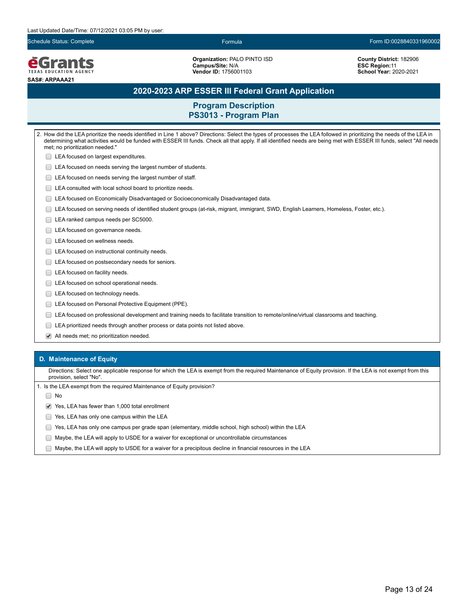#### Last Updated Date/Time: 07/12/2021 03:05 PM by user:

Schedule Status: Complete Formula Form ID:0028840331960002

**e**Grants **TEXAS EDUCATION AGENCY SAS#: ARPAAA21**

**Organization:** PALO PINTO ISD **Campus/Site:** N/A **Vendor ID:** 1756001103

**County District:** 182906 **ESC Region:**11 **School Year:** 2020-2021

## **2020-2023 ARP ESSER III Federal Grant Application**

## **Program Description PS3013 - Program Plan**

2. How did the LEA prioritize the needs identified in Line 1 above? Directions: Select the types of processes the LEA followed in prioritizing the needs of the LEA in determining what activities would be funded with ESSER III funds. Check all that apply. If all identified needs are being met with ESSER III funds, select "All needs met; no prioritization needed." **LEA** focused on largest expenditures. **LEA focused on needs serving the largest number of students. LEA** focused on needs serving the largest number of staff. LEA consulted with local school board to prioritize needs. LEA focused on Economically Disadvantaged or Socioeconomically Disadvantaged data. LEA focused on serving needs of identified student groups (at-risk, migrant, immigrant, SWD, English Learners, Homeless, Foster, etc.). LEA ranked campus needs per SC5000. LEA focused on governance needs. □ LEA focused on wellness needs. **LEA** focused on instructional continuity needs. **LEA** focused on postsecondary needs for seniors. LEA focused on facility needs. **LEA** focused on school operational needs. LEA focused on technology needs. **LEA focused on Personal Protective Equipment (PPE).** LEA focused on professional development and training needs to facilitate transition to remote/online/virtual classrooms and teaching. LEA prioritized needs through another process or data points not listed above.

All needs met; no prioritization needed.

### **D. Maintenance of Equity**

Directions: Select one applicable response for which the LEA is exempt from the required Maintenance of Equity provision. If the LEA is not exempt from this provision, select "No".

1. Is the LEA exempt from the required Maintenance of Equity provision?

∩ No

◆ Yes, LEA has fewer than 1,000 total enrollment

- **The State State State State State State State State State State State State State State State State State State State State State State State State State State State State State State State State State State State State S**
- Yes, LEA has only one campus per grade span (elementary, middle school, high school) within the LEA
- Maybe, the LEA will apply to USDE for a waiver for exceptional or uncontrollable circumstances
- $\Box$  Maybe, the LEA will apply to USDE for a waiver for a precipitous decline in financial resources in the LEA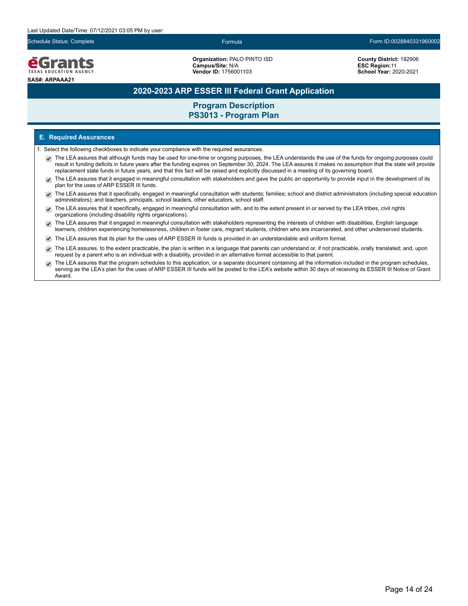

**Organization:** PALO PINTO ISD **Campus/Site:** N/A **Vendor ID:** 1756001103

**County District:** 182906 **ESC Region:**11 **School Year:** 2020-2021

# **2020-2023 ARP ESSER III Federal Grant Application**

# **Program Description PS3013 - Program Plan**

### **E. Required Assurances**

- 1. Select the following checkboxes to indicate your compliance with the required assurances.
	- The LEA assures that although funds may be used for one-time or ongoing purposes, the LEA understands the use of the funds for ongoing purposes could result in funding deficits in future years after the funding expires on September 30, 2024. The LEA assures it makes no assumption that the state will provide replacement state funds in future years, and that this fact will be raised and explicitly discussed in a meeting of its governing board.
	- The LEA assures that it engaged in meaningful consultation with stakeholders and gave the public an opportunity to provide input in the development of its  $\overline{\mathcal{L}}$ plan for the uses of ARP ESSER III funds.
	- The LEA assures that it specifically, engaged in meaningful consultation with students; families; school and district administrators (including special education administrators); and teachers, principals, school leaders, other educators, school staff.
	- The LEA assures that it specifically, engaged in meaningful consultation with, and to the extent present in or served by the LEA tribes, civil rights organizations (including disability rights organizations).
	- The LEA assures that it engaged in meaningful consultation with stakeholders representing the interests of children with disabilities, English language  $\blacktriangledown$ learners, children experiencing homelessness, children in foster care, migrant students, children who are incarcerated, and other underserved students.
	- The LEA assures that its plan for the uses of ARP ESSER III funds is provided in an understandable and uniform format.
	- The LEA assures, to the extent practicable, the plan is written in a language that parents can understand or, if not practicable, orally translated; and, upon request by a parent who is an individual with a disability, provided in an alternative format accessible to that parent.
	- The LEA assures that the program schedules to this application, or a separate document containing all the information included in the program schedules, serving as the LEA's plan for the uses of ARP ESSER III funds will be posted to the LEA's website within 30 days of receiving its ESSER III Notice of Grant Award.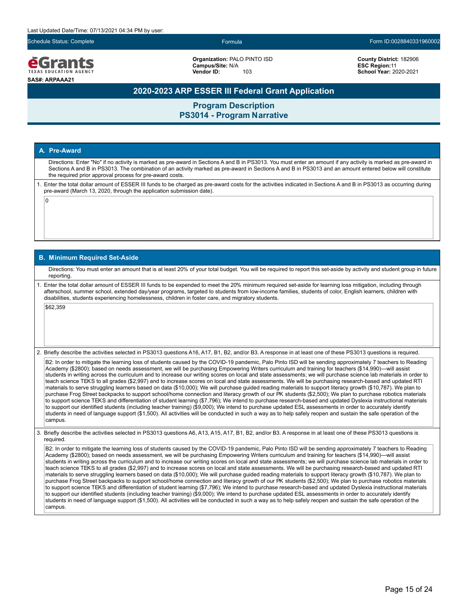eGrants **EXAS EDUCATION AGEN SAS#: ARPAAA21**

**Organization:** PALO PINTO ISD **Campus/Site:** N/A **Vendor ID:** 103

**County District:** 182906 **ESC Region:**11 **School Year:** 2020-2021

## **2020-2023 ARP ESSER III Federal Grant Application**

**Program Description PS3014 - Program Narrative**

### **A. Pre-Award**

 $\overline{0}$ 

Directions: Enter "No" if no activity is marked as pre-award in Sections A and B in PS3013. You must enter an amount if any activity is marked as pre-award in Sections A and B in PS3013. The combination of an activity marked as pre-award in Sections A and B in PS3013 and an amount entered below will constitute the required prior approval process for pre-award costs.

1. Enter the total dollar amount of ESSER III funds to be charged as pre-award costs for the activities indicated in Sections A and B in PS3013 as occurring during pre-award (March 13, 2020, through the application submission date).

#### **B. Minimum Required Set-Aside**

Directions: You must enter an amount that is at least 20% of your total budget. You will be required to report this set-aside by activity and student group in future reporting.

1. Enter the total dollar amount of ESSER III funds to be expended to meet the 20% minimum required set-aside for learning loss mitigation, including through afterschool, summer school, extended day/year programs, targeted to students from low-income families, students of color, English learners, children with disabilities, students experiencing homelessness, children in foster care, and migratory students.

\$62,359

2. Briefly describe the activities selected in PS3013 questions A16, A17, B1, B2, and/or B3. A response in at least one of these PS3013 questions is required.

B2: In order to mitigate the learning loss of students caused by the COVID-19 pandemic, Palo Pinto ISD will be sending approximately 7 teachers to Reading Academy (\$2800); based on needs assessment, we will be purchasing Empowering Writers curriculum and training for teachers (\$14,990)—will assist students in writing across the curriculum and to increase our writing scores on local and state assessments; we will purchase science lab materials in order to teach science TEKS to all grades (\$2,997) and to increase scores on local and state assessments. We will be purchasing research-based and updated RTI materials to serve struggling learners based on data (\$10,000); We will purchase guided reading materials to support literacy growth (\$10,787). We plan to purchase Frog Street backpacks to support school/home connection and literacy growth of our PK students (\$2,500); We plan to purchase robotics materials to support science TEKS and differentiation of student learning (\$7,796); We intend to purchase research-based and updated Dyslexia instructional materials to support our identified students (including teacher training) (\$9,000); We intend to purchase updated ESL assessments in order to accurately identify students in need of language support (\$1,500). All activities will be conducted in such a way as to help safely reopen and sustain the safe operation of the campus.

3. Briefly describe the activities selected in PS3013 questions A6, A13, A15, A17, B1, B2, and/or B3. A response in at least one of these PS3013 questions is required.

B2: In order to mitigate the learning loss of students caused by the COVID-19 pandemic, Palo Pinto ISD will be sending approximately 7 teachers to Reading Academy (\$2800); based on needs assessment, we will be purchasing Empowering Writers curriculum and training for teachers (\$14,990)—will assist students in writing across the curriculum and to increase our writing scores on local and state assessments; we will purchase science lab materials in order to teach science TEKS to all grades (\$2,997) and to increase scores on local and state assessments. We will be purchasing research-based and updated RTI materials to serve struggling learners based on data (\$10,000); We will purchase guided reading materials to support literacy growth (\$10,787). We plan to purchase Frog Street backpacks to support school/home connection and literacy growth of our PK students (\$2,500); We plan to purchase robotics materials to support science TEKS and differentiation of student learning (\$7,796); We intend to purchase research-based and updated Dyslexia instructional materials to support our identified students (including teacher training) (\$9,000); We intend to purchase updated ESL assessments in order to accurately identify students in need of language support (\$1,500). All activities will be conducted in such a way as to help safely reopen and sustain the safe operation of the campus.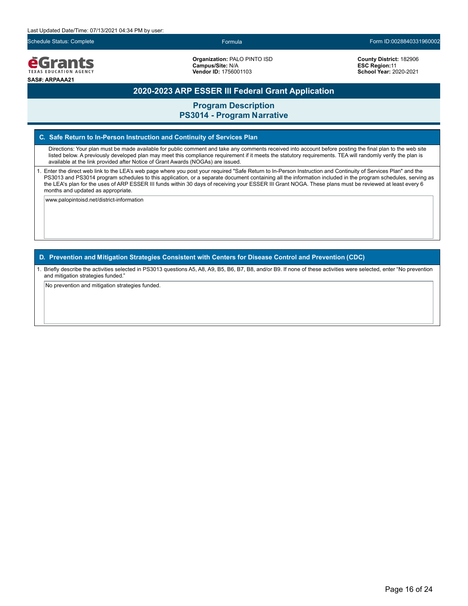#### Last Updated Date/Time: 07/13/2021 04:34 PM by user:

Schedule Status: Complete Formula Form ID:0028840331960002

**e**Grants TEXAS EDUCATION AGENCY **SAS#: ARPAAA21**

**Organization:** PALO PINTO ISD **Campus/Site:** N/A **Vendor ID:** 1756001103

**County District:** 182906 **ESC Region:**11 **School Year:** 2020-2021

## **2020-2023 ARP ESSER III Federal Grant Application**

**Program Description PS3014 - Program Narrative**

### **C. Safe Return to In-Person Instruction and Continuity of Services Plan**

Directions: Your plan must be made available for public comment and take any comments received into account before posting the final plan to the web site listed below. A previously developed plan may meet this compliance requirement if it meets the statutory requirements. TEA will randomly verify the plan is available at the link provided after Notice of Grant Awards (NOGAs) are issued.

1. Enter the direct web link to the LEA's web page where you post your required "Safe Return to In-Person Instruction and Continuity of Services Plan" and the PS3013 and PS3014 program schedules to this application, or a separate document containing all the information included in the program schedules, serving as the LEA's plan for the uses of ARP ESSER III funds within 30 days of receiving your ESSER III Grant NOGA. These plans must be reviewed at least every 6 months and updated as appropriate.

www.palopintoisd.net/district-information

**D. Prevention and Mitigation Strategies Consistent with Centers for Disease Control and Prevention (CDC)**

1. Briefly describe the activities selected in PS3013 questions A5, A8, A9, B5, B6, B7, B8, and/or B9. If none of these activities were selected, enter "No prevention and mitigation strategies funded."

No prevention and mitigation strategies funded.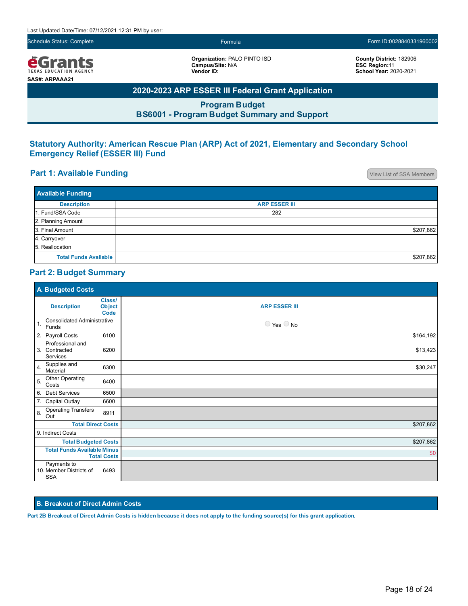*<u>e</u>Grants* TEXAS EDUCATION AGENCY **SAS#: ARPAAA21**

**Organization:** PALO PINTO ISD **Campus/Site:** N/A **Vendor ID:**

**County District:** 182906 **ESC Region:**11 **School Year:** 2020-2021

# **2020-2023 ARP ESSER III Federal Grant Application**

**Program Budget BS6001 - Program Budget Summary and Support**

# **Statutory Authority: American Rescue Plan (ARP) Act of 2021, Elementary and Secondary School Emergency Relief (ESSER III) Fund**

# **Part 1: Available Funding Part 1: Available Funding**

| <b>Available Funding</b>     |                      |  |  |
|------------------------------|----------------------|--|--|
| <b>Description</b>           | <b>ARP ESSER III</b> |  |  |
| 1. Fund/SSA Code             | 282                  |  |  |
| 2. Planning Amount           |                      |  |  |
| 3. Final Amount              | \$207,862            |  |  |
| 4. Carryover                 |                      |  |  |
| 5. Reallocation              |                      |  |  |
| <b>Total Funds Available</b> | \$207,862            |  |  |

## **Part 2: Budget Summary**

| A. Budgeted Costs                                        |                                 |                              |
|----------------------------------------------------------|---------------------------------|------------------------------|
| <b>Description</b>                                       | Class/<br><b>Object</b><br>Code | <b>ARP ESSER III</b>         |
| <b>Consolidated Administrative</b><br>1.<br>Funds        |                                 | $\bigcirc$ Yes $\bigcirc$ No |
| 2. Payroll Costs                                         | 6100                            | \$164,192                    |
| Professional and<br>3. Contracted<br>Services            | 6200                            | \$13,423                     |
| Supplies and<br>4.<br>Material                           | 6300                            | \$30,247                     |
| Other Operating<br>5.<br>Costs                           | 6400                            |                              |
| 6. Debt Services                                         | 6500                            |                              |
| 7.<br><b>Capital Outlay</b>                              | 6600                            |                              |
| <b>Operating Transfers</b><br>8.<br>Out                  | 8911                            |                              |
| <b>Total Direct Costs</b>                                |                                 | \$207,862                    |
| 9. Indirect Costs                                        |                                 |                              |
| <b>Total Budgeted Costs</b>                              |                                 | \$207,862                    |
| <b>Total Funds Available Minus</b><br><b>Total Costs</b> |                                 | \$0                          |
| Payments to<br>10. Member Districts of<br><b>SSA</b>     | 6493                            |                              |

### **B. Breakout of Direct Admin Costs**

**Part 2B Breakout of Direct Admin Costs is hidden because it does not apply to the funding source(s) for this grant application.**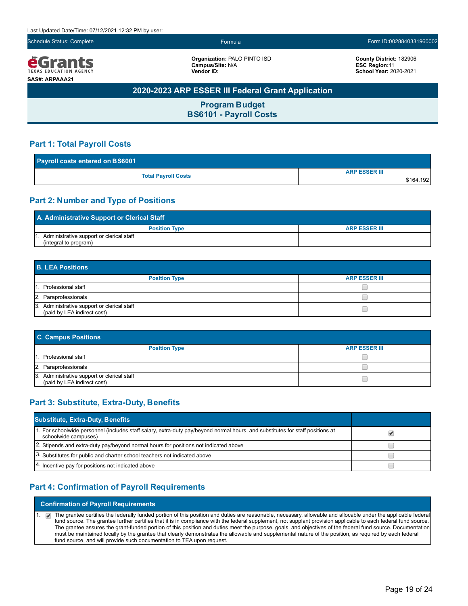

**Organization:** PALO PINTO ISD **Campus/Site:** N/A **Vendor ID:**

**County District:** 182906 **ESC Region:**11 **School Year:** 2020-2021

# **2020-2023 ARP ESSER III Federal Grant Application**

**Program Budget BS6101 - Payroll Costs**

## **Part 1: Total Payroll Costs**

| Payroll costs entered on BS6001 |                      |  |  |
|---------------------------------|----------------------|--|--|
|                                 | <b>ARP ESSER III</b> |  |  |
| <b>Total Payroll Costs</b>      | \$164,192            |  |  |

## **Part 2: Number and Type of Positions**

| A. Administrative Support or Clerical Staff |                      |  |  |
|---------------------------------------------|----------------------|--|--|
| <b>Position Type</b>                        | <b>ARP ESSER III</b> |  |  |
| Administrative support or clerical staff    |                      |  |  |
| (integral to program)                       |                      |  |  |

| <b>B. LEA Positions</b>                                                    |                      |  |  |
|----------------------------------------------------------------------------|----------------------|--|--|
| <b>Position Type</b>                                                       | <b>ARP ESSER III</b> |  |  |
| 1. Professional staff                                                      |                      |  |  |
| 2. Paraprofessionals                                                       |                      |  |  |
| 3. Administrative support or clerical staff<br>(paid by LEA indirect cost) |                      |  |  |

| <b>C. Campus Positions</b>                                                 |                      |  |  |  |  |
|----------------------------------------------------------------------------|----------------------|--|--|--|--|
| <b>Position Type</b>                                                       | <b>ARP ESSER III</b> |  |  |  |  |
| 1. Professional staff                                                      |                      |  |  |  |  |
| 2. Paraprofessionals                                                       |                      |  |  |  |  |
| 3. Administrative support or clerical staff<br>(paid by LEA indirect cost) |                      |  |  |  |  |

# **Part 3: Substitute, Extra-Duty, Benefits**

| <b>Substitute, Extra-Duty, Benefits</b>                                                                                                                |  |
|--------------------------------------------------------------------------------------------------------------------------------------------------------|--|
| 1. For schoolwide personnel (includes staff salary, extra-duty pay/beyond normal hours, and substitutes for staff positions at<br>schoolwide campuses) |  |
| 2. Stipends and extra-duty pay/beyond normal hours for positions not indicated above                                                                   |  |
| 3. Substitutes for public and charter school teachers not indicated above                                                                              |  |
| 4. Incentive pay for positions not indicated above                                                                                                     |  |

## **Part 4: Confirmation of Payroll Requirements**

**Confirmation of Payroll Requirements**

1. The grantee certifies the federally funded portion of this position and duties are reasonable, necessary, allowable and allocable under the applicable federal fund source. The grantee further certifies that it is in compliance with the federal supplement, not supplant provision applicable to each federal fund source. The grantee assures the grant-funded portion of this position and duties meet the purpose, goals, and objectives of the federal fund source. Documentation must be maintained locally by the grantee that clearly demonstrates the allowable and supplemental nature of the position, as required by each federal fund source, and will provide such documentation to TEA upon request.